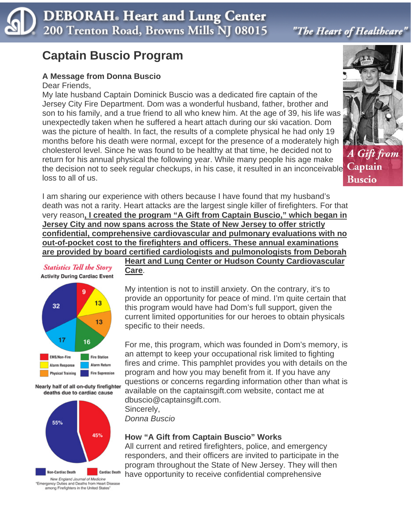# **DEBORAH**. Heart and Lung Center 200 Trenton Road, Browns Mills NJ 08015

"The Heart of Healthcare"

A Gift from

**Buscio** 

# **Captain Buscio Program**

## **A Message from Donna Buscio**

#### Dear Friends,

My late husband Captain Dominick Buscio was a dedicated fire captain of the Jersey City Fire Department. Dom was a wonderful husband, father, brother and son to his family, and a true friend to all who knew him. At the age of 39, his life was unexpectedly taken when he suffered a heart attach during our ski vacation. Dom was the picture of health. In fact, the results of a complete physical he had only 19 months before his death were normal, except for the presence of a moderately high cholesterol level. Since he was found to be healthy at that time, he decided not to return for his annual physical the following year. While many people his age make the decision not to seek regular checkups, in his case, it resulted in an inconceivable Captain loss to all of us.

I am sharing our experience with others because I have found that my husband's death was not a rarity. Heart attacks are the largest single killer of firefighters. For that very reason**, I created the program "A Gift from Captain Buscio," which began in Jersey City and now spans across the State of New Jersey to offer strictly confidential, comprehensive cardiovascular and pulmonary evaluations with no out-of-pocket cost to the firefighters and officers. These annual examinations are provided by board certified cardiologists and pulmonologists from Deborah** 

> **Heart and Lung Center or Hudson County Cardiovascular Care**.



**Statistics Tell the Story** 

Nearly half of all on-duty firefighter deaths due to cardiac cause



New England Journal of Medicine<br>Emergency Duties and Deaths from Heart Disease among Firefighters in the United States

My intention is not to instill anxiety. On the contrary, it's to provide an opportunity for peace of mind. I'm quite certain that this program would have had Dom's full support, given the current limited opportunities for our heroes to obtain physicals specific to their needs.

For me, this program, which was founded in Dom's memory, is an attempt to keep your occupational risk limited to fighting fires and crime. This pamphlet provides you with details on the program and how you may benefit from it. If you have any questions or concerns regarding information other than what is available on the captainsgift.com website, contact me at dbuscio@captainsgift.com.

Sincerely, *Donna Buscio*

#### **How "A Gift from Captain Buscio" Works**

All current and retired firefighters, police, and emergency responders, and their officers are invited to participate in the program throughout the State of New Jersey. They will then have opportunity to receive confidential comprehensive